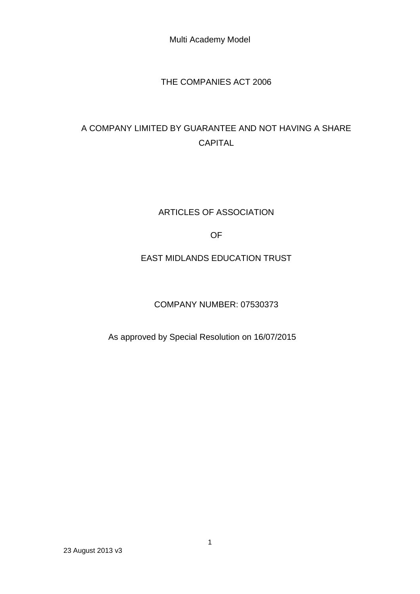# THE COMPANIES ACT 2006

# A COMPANY LIMITED BY GUARANTEE AND NOT HAVING A SHARE CAPITAL

# ARTICLES OF ASSOCIATION

# OF

# EAST MIDLANDS EDUCATION TRUST

# COMPANY NUMBER: 07530373

# As approved by Special Resolution on 16/07/2015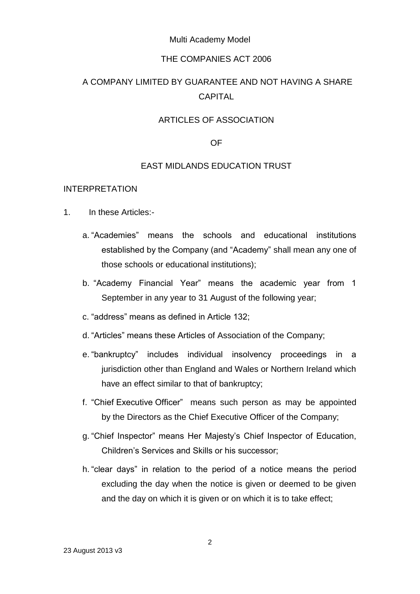#### THE COMPANIES ACT 2006

# A COMPANY LIMITED BY GUARANTEE AND NOT HAVING A SHARE CAPITAL

### ARTICLES OF ASSOCIATION

#### OF

#### EAST MIDLANDS EDUCATION TRUST

#### INTERPRETATION

- 1. In these Articles:
	- a. "Academies" means the schools and educational institutions established by the Company (and "Academy" shall mean any one of those schools or educational institutions);
	- b. "Academy Financial Year" means the academic year from 1 September in any year to 31 August of the following year;
	- c. "address" means as defined in Article 132;
	- d. "Articles" means these Articles of Association of the Company;
	- e. "bankruptcy" includes individual insolvency proceedings in a jurisdiction other than England and Wales or Northern Ireland which have an effect similar to that of bankruptcy;
	- f. "Chief Executive Officer" means such person as may be appointed by the Directors as the Chief Executive Officer of the Company;
	- g. "Chief Inspector" means Her Majesty's Chief Inspector of Education, Children's Services and Skills or his successor;
	- h. "clear days" in relation to the period of a notice means the period excluding the day when the notice is given or deemed to be given and the day on which it is given or on which it is to take effect;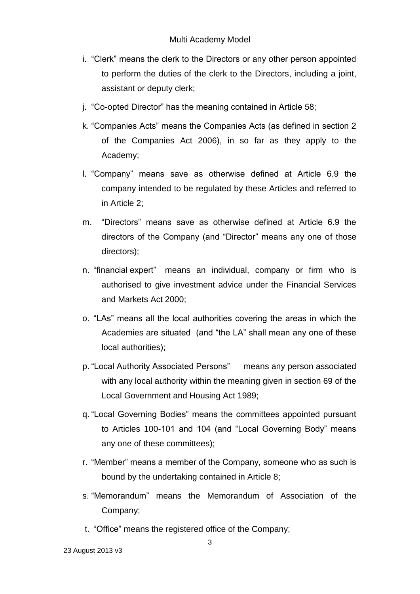- i. "Clerk" means the clerk to the Directors or any other person appointed to perform the duties of the clerk to the Directors, including a joint, assistant or deputy clerk;
- j. "Co-opted Director" has the meaning contained in Article 58;
- k. "Companies Acts" means the Companies Acts (as defined in section 2 of the Companies Act 2006), in so far as they apply to the Academy;
- l. "Company" means save as otherwise defined at Article 6.9 the company intended to be regulated by these Articles and referred to in Article 2;
- m. "Directors" means save as otherwise defined at Article 6.9 the directors of the Company (and "Director" means any one of those directors);
- n. "financial expert" means an individual, company or firm who is authorised to give investment advice under the Financial Services and Markets Act 2000;
- o. "LAs" means all the local authorities covering the areas in which the Academies are situated (and "the LA" shall mean any one of these local authorities);
- p. "Local Authority Associated Persons" means any person associated with any local authority within the meaning given in section 69 of the Local Government and Housing Act 1989;
- q. "Local Governing Bodies" means the committees appointed pursuant to Articles 100-101 and 104 (and "Local Governing Body" means any one of these committees);
- r. "Member" means a member of the Company, someone who as such is bound by the undertaking contained in Article 8;
- s. "Memorandum" means the Memorandum of Association of the Company;
- t. "Office" means the registered office of the Company;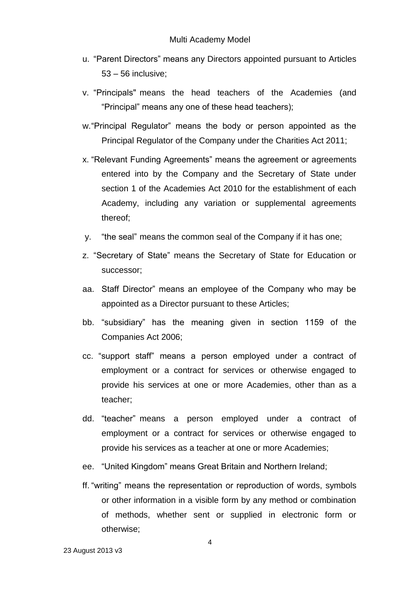- u. "Parent Directors" means any Directors appointed pursuant to Articles 53 – 56 inclusive;
- v. "Principals" means the head teachers of the Academies (and "Principal" means any one of these head teachers);
- w."Principal Regulator" means the body or person appointed as the Principal Regulator of the Company under the Charities Act 2011;
- x. "Relevant Funding Agreements" means the agreement or agreements entered into by the Company and the Secretary of State under section 1 of the Academies Act 2010 for the establishment of each Academy, including any variation or supplemental agreements thereof;
- y. "the seal" means the common seal of the Company if it has one;
- z. "Secretary of State" means the Secretary of State for Education or successor;
- aa. Staff Director" means an employee of the Company who may be appointed as a Director pursuant to these Articles;
- bb. "subsidiary" has the meaning given in section 1159 of the Companies Act 2006;
- cc. "support staff" means a person employed under a contract of employment or a contract for services or otherwise engaged to provide his services at one or more Academies, other than as a teacher;
- dd. "teacher" means a person employed under a contract of employment or a contract for services or otherwise engaged to provide his services as a teacher at one or more Academies;
- ee. "United Kingdom" means Great Britain and Northern Ireland;
- ff. "writing" means the representation or reproduction of words, symbols or other information in a visible form by any method or combination of methods, whether sent or supplied in electronic form or otherwise;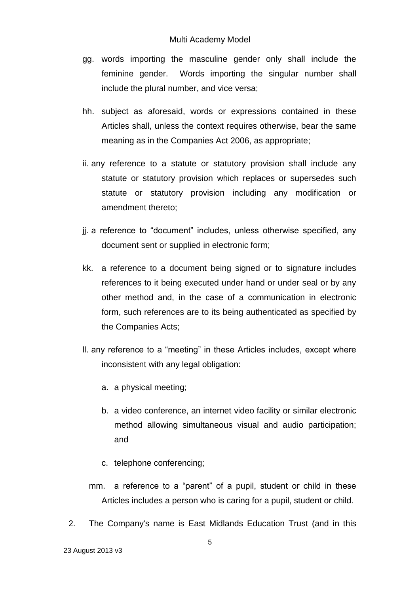- gg. words importing the masculine gender only shall include the feminine gender. Words importing the singular number shall include the plural number, and vice versa;
- hh. subject as aforesaid, words or expressions contained in these Articles shall, unless the context requires otherwise, bear the same meaning as in the Companies Act 2006, as appropriate;
- ii. any reference to a statute or statutory provision shall include any statute or statutory provision which replaces or supersedes such statute or statutory provision including any modification or amendment thereto;
- jj. a reference to "document" includes, unless otherwise specified, any document sent or supplied in electronic form;
- kk. a reference to a document being signed or to signature includes references to it being executed under hand or under seal or by any other method and, in the case of a communication in electronic form, such references are to its being authenticated as specified by the Companies Acts;
- ll. any reference to a "meeting" in these Articles includes, except where inconsistent with any legal obligation:
	- a. a physical meeting;
	- b. a video conference, an internet video facility or similar electronic method allowing simultaneous visual and audio participation; and
	- c. telephone conferencing;
	- mm. a reference to a "parent" of a pupil, student or child in these Articles includes a person who is caring for a pupil, student or child.
- 2. The Company's name is East Midlands Education Trust (and in this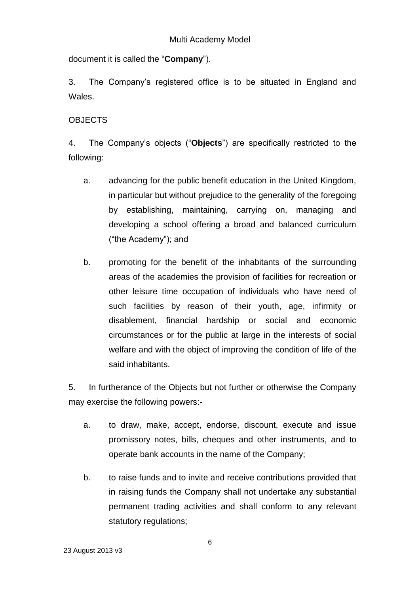document it is called the "**Company**").

3. The Company's registered office is to be situated in England and Wales.

# **OBJECTS**

4. The Company's objects ("**Objects**") are specifically restricted to the following:

- a. advancing for the public benefit education in the United Kingdom, in particular but without prejudice to the generality of the foregoing by establishing, maintaining, carrying on, managing and developing a school offering a broad and balanced curriculum ("the Academy"); and
- b. promoting for the benefit of the inhabitants of the surrounding areas of the academies the provision of facilities for recreation or other leisure time occupation of individuals who have need of such facilities by reason of their youth, age, infirmity or disablement, financial hardship or social and economic circumstances or for the public at large in the interests of social welfare and with the object of improving the condition of life of the said inhabitants.

5. In furtherance of the Objects but not further or otherwise the Company may exercise the following powers:-

- a. to draw, make, accept, endorse, discount, execute and issue promissory notes, bills, cheques and other instruments, and to operate bank accounts in the name of the Company;
- b. to raise funds and to invite and receive contributions provided that in raising funds the Company shall not undertake any substantial permanent trading activities and shall conform to any relevant statutory regulations;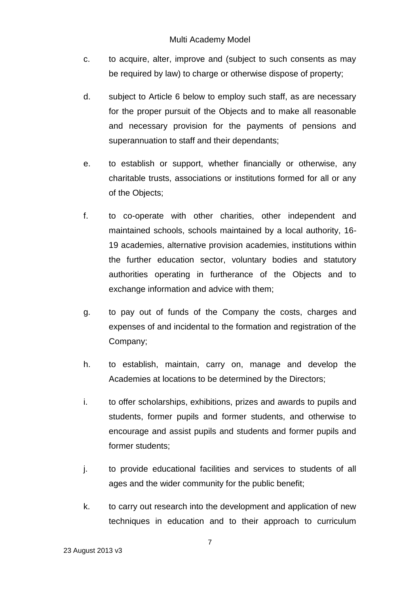- c. to acquire, alter, improve and (subject to such consents as may be required by law) to charge or otherwise dispose of property;
- d. subject to Article 6 below to employ such staff, as are necessary for the proper pursuit of the Objects and to make all reasonable and necessary provision for the payments of pensions and superannuation to staff and their dependants;
- e. to establish or support, whether financially or otherwise, any charitable trusts, associations or institutions formed for all or any of the Objects;
- f. to co-operate with other charities, other independent and maintained schools, schools maintained by a local authority, 16- 19 academies, alternative provision academies, institutions within the further education sector, voluntary bodies and statutory authorities operating in furtherance of the Objects and to exchange information and advice with them;
- g. to pay out of funds of the Company the costs, charges and expenses of and incidental to the formation and registration of the Company;
- h. to establish, maintain, carry on, manage and develop the Academies at locations to be determined by the Directors;
- i. to offer scholarships, exhibitions, prizes and awards to pupils and students, former pupils and former students, and otherwise to encourage and assist pupils and students and former pupils and former students;
- j. to provide educational facilities and services to students of all ages and the wider community for the public benefit;
- k. to carry out research into the development and application of new techniques in education and to their approach to curriculum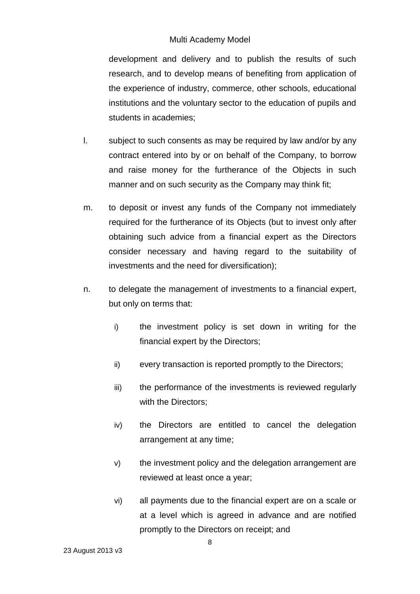development and delivery and to publish the results of such research, and to develop means of benefiting from application of the experience of industry, commerce, other schools, educational institutions and the voluntary sector to the education of pupils and students in academies;

- l. subject to such consents as may be required by law and/or by any contract entered into by or on behalf of the Company, to borrow and raise money for the furtherance of the Objects in such manner and on such security as the Company may think fit;
- m. to deposit or invest any funds of the Company not immediately required for the furtherance of its Objects (but to invest only after obtaining such advice from a financial expert as the Directors consider necessary and having regard to the suitability of investments and the need for diversification);
- n. to delegate the management of investments to a financial expert, but only on terms that:
	- i) the investment policy is set down in writing for the financial expert by the Directors;
	- ii) every transaction is reported promptly to the Directors;
	- iii) the performance of the investments is reviewed regularly with the Directors;
	- iv) the Directors are entitled to cancel the delegation arrangement at any time;
	- v) the investment policy and the delegation arrangement are reviewed at least once a year;
	- vi) all payments due to the financial expert are on a scale or at a level which is agreed in advance and are notified promptly to the Directors on receipt; and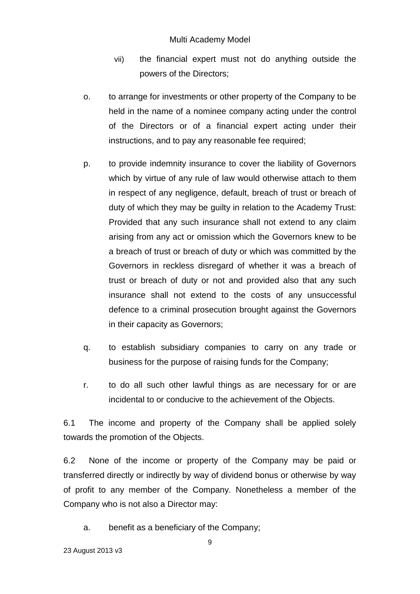- vii) the financial expert must not do anything outside the powers of the Directors;
- o. to arrange for investments or other property of the Company to be held in the name of a nominee company acting under the control of the Directors or of a financial expert acting under their instructions, and to pay any reasonable fee required;
- p. to provide indemnity insurance to cover the liability of Governors which by virtue of any rule of law would otherwise attach to them in respect of any negligence, default, breach of trust or breach of duty of which they may be guilty in relation to the Academy Trust: Provided that any such insurance shall not extend to any claim arising from any act or omission which the Governors knew to be a breach of trust or breach of duty or which was committed by the Governors in reckless disregard of whether it was a breach of trust or breach of duty or not and provided also that any such insurance shall not extend to the costs of any unsuccessful defence to a criminal prosecution brought against the Governors in their capacity as Governors;
- q. to establish subsidiary companies to carry on any trade or business for the purpose of raising funds for the Company;
- r. to do all such other lawful things as are necessary for or are incidental to or conducive to the achievement of the Objects.

6.1 The income and property of the Company shall be applied solely towards the promotion of the Objects.

6.2 None of the income or property of the Company may be paid or transferred directly or indirectly by way of dividend bonus or otherwise by way of profit to any member of the Company. Nonetheless a member of the Company who is not also a Director may:

a. benefit as a beneficiary of the Company;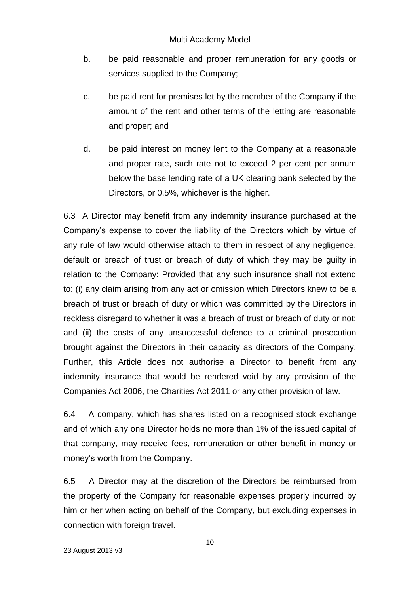- b. be paid reasonable and proper remuneration for any goods or services supplied to the Company;
- c. be paid rent for premises let by the member of the Company if the amount of the rent and other terms of the letting are reasonable and proper; and
- d. be paid interest on money lent to the Company at a reasonable and proper rate, such rate not to exceed 2 per cent per annum below the base lending rate of a UK clearing bank selected by the Directors, or 0.5%, whichever is the higher.

6.3 A Director may benefit from any indemnity insurance purchased at the Company's expense to cover the liability of the Directors which by virtue of any rule of law would otherwise attach to them in respect of any negligence, default or breach of trust or breach of duty of which they may be guilty in relation to the Company: Provided that any such insurance shall not extend to: (i) any claim arising from any act or omission which Directors knew to be a breach of trust or breach of duty or which was committed by the Directors in reckless disregard to whether it was a breach of trust or breach of duty or not; and (ii) the costs of any unsuccessful defence to a criminal prosecution brought against the Directors in their capacity as directors of the Company. Further, this Article does not authorise a Director to benefit from any indemnity insurance that would be rendered void by any provision of the Companies Act 2006, the Charities Act 2011 or any other provision of law.

6.4 A company, which has shares listed on a recognised stock exchange and of which any one Director holds no more than 1% of the issued capital of that company, may receive fees, remuneration or other benefit in money or money's worth from the Company.

6.5 A Director may at the discretion of the Directors be reimbursed from the property of the Company for reasonable expenses properly incurred by him or her when acting on behalf of the Company, but excluding expenses in connection with foreign travel.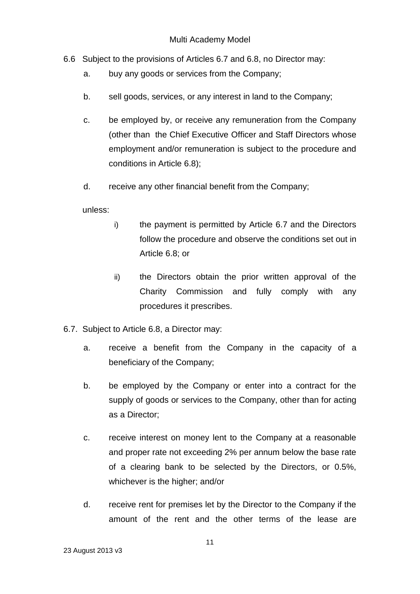- 6.6 Subject to the provisions of Articles 6.7 and 6.8, no Director may:
	- a. buy any goods or services from the Company;
	- b. sell goods, services, or any interest in land to the Company;
	- c. be employed by, or receive any remuneration from the Company (other than the Chief Executive Officer and Staff Directors whose employment and/or remuneration is subject to the procedure and conditions in Article 6.8);
	- d. receive any other financial benefit from the Company;

unless:

- i) the payment is permitted by Article 6.7 and the Directors follow the procedure and observe the conditions set out in Article 6.8; or
- ii) the Directors obtain the prior written approval of the Charity Commission and fully comply with any procedures it prescribes.
- 6.7. Subject to Article 6.8, a Director may:
	- a. receive a benefit from the Company in the capacity of a beneficiary of the Company;
	- b. be employed by the Company or enter into a contract for the supply of goods or services to the Company, other than for acting as a Director;
	- c. receive interest on money lent to the Company at a reasonable and proper rate not exceeding 2% per annum below the base rate of a clearing bank to be selected by the Directors, or 0.5%, whichever is the higher; and/or
	- d. receive rent for premises let by the Director to the Company if the amount of the rent and the other terms of the lease are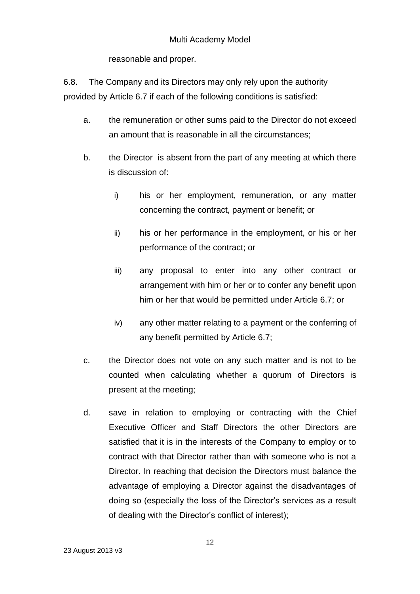reasonable and proper.

6.8. The Company and its Directors may only rely upon the authority provided by Article 6.7 if each of the following conditions is satisfied:

- a. the remuneration or other sums paid to the Director do not exceed an amount that is reasonable in all the circumstances;
- b. the Director is absent from the part of any meeting at which there is discussion of:
	- i) his or her employment, remuneration, or any matter concerning the contract, payment or benefit; or
	- ii) his or her performance in the employment, or his or her performance of the contract; or
	- iii) any proposal to enter into any other contract or arrangement with him or her or to confer any benefit upon him or her that would be permitted under Article 6.7; or
	- iv) any other matter relating to a payment or the conferring of any benefit permitted by Article 6.7;
- c. the Director does not vote on any such matter and is not to be counted when calculating whether a quorum of Directors is present at the meeting;
- d. save in relation to employing or contracting with the Chief Executive Officer and Staff Directors the other Directors are satisfied that it is in the interests of the Company to employ or to contract with that Director rather than with someone who is not a Director. In reaching that decision the Directors must balance the advantage of employing a Director against the disadvantages of doing so (especially the loss of the Director's services as a result of dealing with the Director's conflict of interest);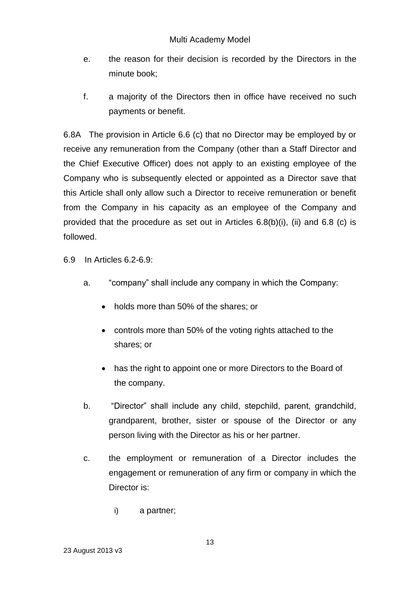- e. the reason for their decision is recorded by the Directors in the minute book;
- f. a majority of the Directors then in office have received no such payments or benefit.

6.8A The provision in Article 6.6 (c) that no Director may be employed by or receive any remuneration from the Company (other than a Staff Director and the Chief Executive Officer) does not apply to an existing employee of the Company who is subsequently elected or appointed as a Director save that this Article shall only allow such a Director to receive remuneration or benefit from the Company in his capacity as an employee of the Company and provided that the procedure as set out in Articles 6.8(b)(i), (ii) and 6.8 (c) is followed.

6.9 In Articles 6.2-6.9:

- a. "company" shall include any company in which the Company:
	- holds more than 50% of the shares; or
	- controls more than 50% of the voting rights attached to the shares; or
	- has the right to appoint one or more Directors to the Board of the company.
- b. "Director" shall include any child, stepchild, parent, grandchild, grandparent, brother, sister or spouse of the Director or any person living with the Director as his or her partner.
- c. the employment or remuneration of a Director includes the engagement or remuneration of any firm or company in which the Director is:
	- i) a partner;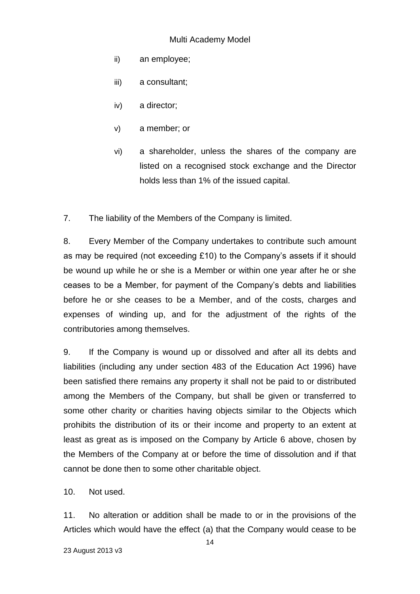- ii) an employee;
- iii) a consultant;
- iv) a director;
- v) a member; or
- vi) a shareholder, unless the shares of the company are listed on a recognised stock exchange and the Director holds less than 1% of the issued capital.

7. The liability of the Members of the Company is limited.

8. Every Member of the Company undertakes to contribute such amount as may be required (not exceeding £10) to the Company's assets if it should be wound up while he or she is a Member or within one year after he or she ceases to be a Member, for payment of the Company's debts and liabilities before he or she ceases to be a Member, and of the costs, charges and expenses of winding up, and for the adjustment of the rights of the contributories among themselves.

9. If the Company is wound up or dissolved and after all its debts and liabilities (including any under section 483 of the Education Act 1996) have been satisfied there remains any property it shall not be paid to or distributed among the Members of the Company, but shall be given or transferred to some other charity or charities having objects similar to the Objects which prohibits the distribution of its or their income and property to an extent at least as great as is imposed on the Company by Article 6 above, chosen by the Members of the Company at or before the time of dissolution and if that cannot be done then to some other charitable object.

10. Not used.

11. No alteration or addition shall be made to or in the provisions of the Articles which would have the effect (a) that the Company would cease to be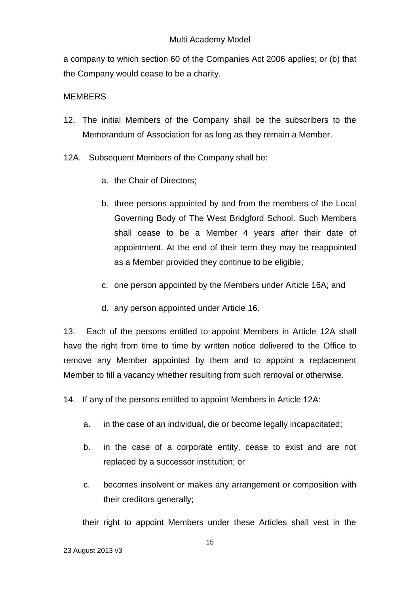a company to which section 60 of the Companies Act 2006 applies; or (b) that the Company would cease to be a charity.

# MEMBERS

- 12. The initial Members of the Company shall be the subscribers to the Memorandum of Association for as long as they remain a Member.
- 12A. Subsequent Members of the Company shall be:
	- a. the Chair of Directors;
	- b. three persons appointed by and from the members of the Local Governing Body of The West Bridgford School. Such Members shall cease to be a Member 4 years after their date of appointment. At the end of their term they may be reappointed as a Member provided they continue to be eligible;
	- c. one person appointed by the Members under Article 16A; and
	- d. any person appointed under Article 16.

13. Each of the persons entitled to appoint Members in Article 12A shall have the right from time to time by written notice delivered to the Office to remove any Member appointed by them and to appoint a replacement Member to fill a vacancy whether resulting from such removal or otherwise.

14. If any of the persons entitled to appoint Members in Article 12A:

- a. in the case of an individual, die or become legally incapacitated;
- b. in the case of a corporate entity, cease to exist and are not replaced by a successor institution; or
- c. becomes insolvent or makes any arrangement or composition with their creditors generally;

their right to appoint Members under these Articles shall vest in the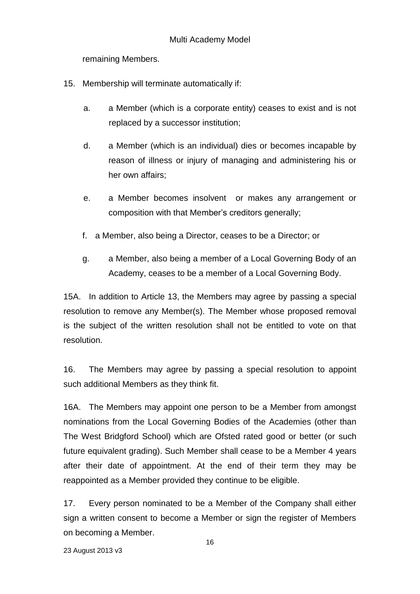remaining Members.

- 15. Membership will terminate automatically if:
	- a. a Member (which is a corporate entity) ceases to exist and is not replaced by a successor institution;
	- d. a Member (which is an individual) dies or becomes incapable by reason of illness or injury of managing and administering his or her own affairs;
	- e. a Member becomes insolvent or makes any arrangement or composition with that Member's creditors generally;
	- f. a Member, also being a Director, ceases to be a Director; or
	- g. a Member, also being a member of a Local Governing Body of an Academy, ceases to be a member of a Local Governing Body.

15A. In addition to Article 13, the Members may agree by passing a special resolution to remove any Member(s). The Member whose proposed removal is the subject of the written resolution shall not be entitled to vote on that resolution.

16. The Members may agree by passing a special resolution to appoint such additional Members as they think fit.

16A. The Members may appoint one person to be a Member from amongst nominations from the Local Governing Bodies of the Academies (other than The West Bridgford School) which are Ofsted rated good or better (or such future equivalent grading). Such Member shall cease to be a Member 4 years after their date of appointment. At the end of their term they may be reappointed as a Member provided they continue to be eligible.

17. Every person nominated to be a Member of the Company shall either sign a written consent to become a Member or sign the register of Members on becoming a Member.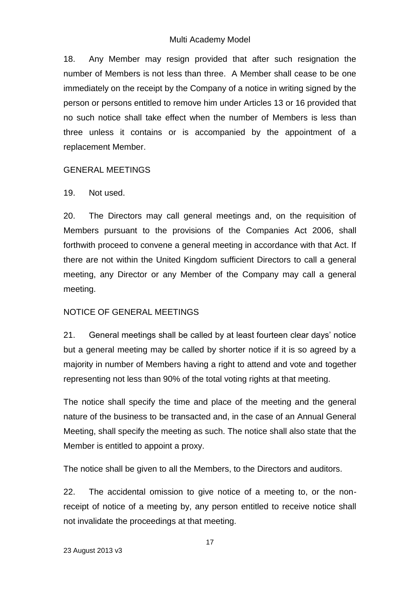18. Any Member may resign provided that after such resignation the number of Members is not less than three. A Member shall cease to be one immediately on the receipt by the Company of a notice in writing signed by the person or persons entitled to remove him under Articles 13 or 16 provided that no such notice shall take effect when the number of Members is less than three unless it contains or is accompanied by the appointment of a replacement Member.

### GENERAL MEETINGS

19. Not used.

20. The Directors may call general meetings and, on the requisition of Members pursuant to the provisions of the Companies Act 2006, shall forthwith proceed to convene a general meeting in accordance with that Act. If there are not within the United Kingdom sufficient Directors to call a general meeting, any Director or any Member of the Company may call a general meeting.

# NOTICE OF GENERAL MEETINGS

21. General meetings shall be called by at least fourteen clear days' notice but a general meeting may be called by shorter notice if it is so agreed by a majority in number of Members having a right to attend and vote and together representing not less than 90% of the total voting rights at that meeting.

The notice shall specify the time and place of the meeting and the general nature of the business to be transacted and, in the case of an Annual General Meeting, shall specify the meeting as such. The notice shall also state that the Member is entitled to appoint a proxy.

The notice shall be given to all the Members, to the Directors and auditors.

22. The accidental omission to give notice of a meeting to, or the nonreceipt of notice of a meeting by, any person entitled to receive notice shall not invalidate the proceedings at that meeting.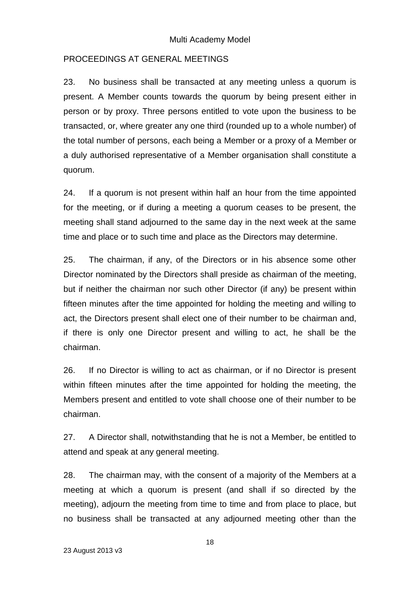### PROCEEDINGS AT GENERAL MEETINGS

23. No business shall be transacted at any meeting unless a quorum is present. A Member counts towards the quorum by being present either in person or by proxy. Three persons entitled to vote upon the business to be transacted, or, where greater any one third (rounded up to a whole number) of the total number of persons, each being a Member or a proxy of a Member or a duly authorised representative of a Member organisation shall constitute a quorum.

24. If a quorum is not present within half an hour from the time appointed for the meeting, or if during a meeting a quorum ceases to be present, the meeting shall stand adjourned to the same day in the next week at the same time and place or to such time and place as the Directors may determine.

25. The chairman, if any, of the Directors or in his absence some other Director nominated by the Directors shall preside as chairman of the meeting, but if neither the chairman nor such other Director (if any) be present within fifteen minutes after the time appointed for holding the meeting and willing to act, the Directors present shall elect one of their number to be chairman and, if there is only one Director present and willing to act, he shall be the chairman.

26. If no Director is willing to act as chairman, or if no Director is present within fifteen minutes after the time appointed for holding the meeting, the Members present and entitled to vote shall choose one of their number to be chairman.

27. A Director shall, notwithstanding that he is not a Member, be entitled to attend and speak at any general meeting.

28. The chairman may, with the consent of a majority of the Members at a meeting at which a quorum is present (and shall if so directed by the meeting), adjourn the meeting from time to time and from place to place, but no business shall be transacted at any adjourned meeting other than the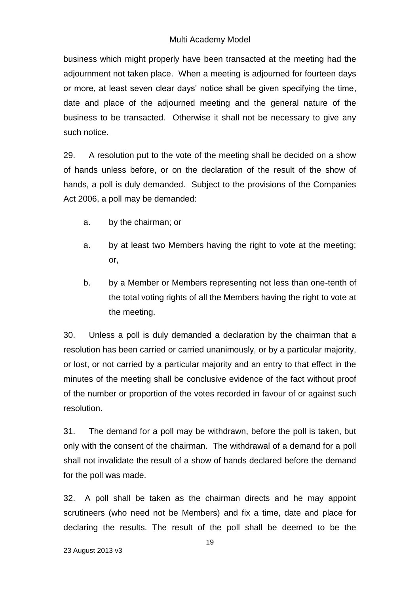business which might properly have been transacted at the meeting had the adjournment not taken place. When a meeting is adjourned for fourteen days or more, at least seven clear days' notice shall be given specifying the time, date and place of the adjourned meeting and the general nature of the business to be transacted. Otherwise it shall not be necessary to give any such notice.

29. A resolution put to the vote of the meeting shall be decided on a show of hands unless before, or on the declaration of the result of the show of hands, a poll is duly demanded. Subject to the provisions of the Companies Act 2006, a poll may be demanded:

- a. by the chairman; or
- a. by at least two Members having the right to vote at the meeting; or,
- b. by a Member or Members representing not less than one-tenth of the total voting rights of all the Members having the right to vote at the meeting.

30. Unless a poll is duly demanded a declaration by the chairman that a resolution has been carried or carried unanimously, or by a particular majority, or lost, or not carried by a particular majority and an entry to that effect in the minutes of the meeting shall be conclusive evidence of the fact without proof of the number or proportion of the votes recorded in favour of or against such resolution.

31. The demand for a poll may be withdrawn, before the poll is taken, but only with the consent of the chairman. The withdrawal of a demand for a poll shall not invalidate the result of a show of hands declared before the demand for the poll was made.

32. A poll shall be taken as the chairman directs and he may appoint scrutineers (who need not be Members) and fix a time, date and place for declaring the results. The result of the poll shall be deemed to be the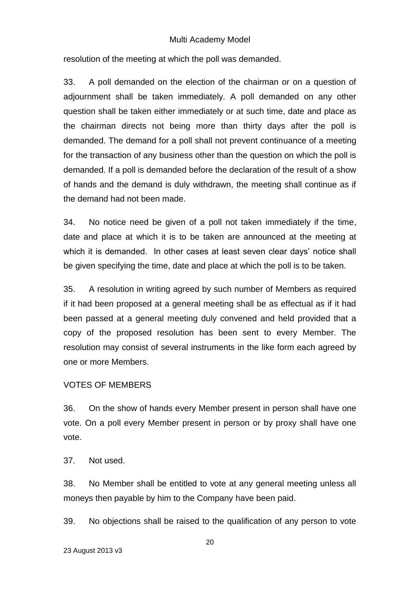resolution of the meeting at which the poll was demanded.

33. A poll demanded on the election of the chairman or on a question of adjournment shall be taken immediately. A poll demanded on any other question shall be taken either immediately or at such time, date and place as the chairman directs not being more than thirty days after the poll is demanded. The demand for a poll shall not prevent continuance of a meeting for the transaction of any business other than the question on which the poll is demanded. If a poll is demanded before the declaration of the result of a show of hands and the demand is duly withdrawn, the meeting shall continue as if the demand had not been made.

34. No notice need be given of a poll not taken immediately if the time, date and place at which it is to be taken are announced at the meeting at which it is demanded. In other cases at least seven clear days' notice shall be given specifying the time, date and place at which the poll is to be taken.

35. A resolution in writing agreed by such number of Members as required if it had been proposed at a general meeting shall be as effectual as if it had been passed at a general meeting duly convened and held provided that a copy of the proposed resolution has been sent to every Member. The resolution may consist of several instruments in the like form each agreed by one or more Members.

### VOTES OF MEMBERS

36. On the show of hands every Member present in person shall have one vote. On a poll every Member present in person or by proxy shall have one vote.

37. Not used.

38. No Member shall be entitled to vote at any general meeting unless all moneys then payable by him to the Company have been paid.

39. No objections shall be raised to the qualification of any person to vote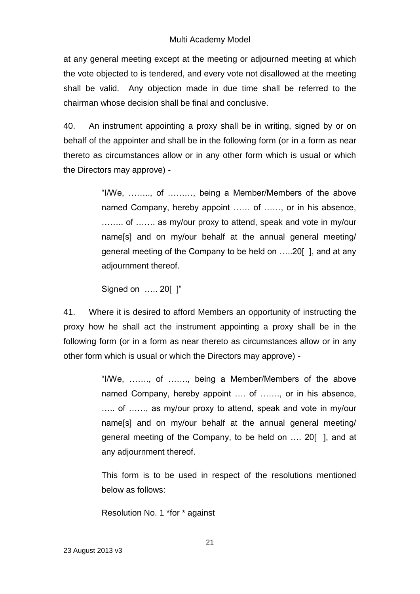at any general meeting except at the meeting or adjourned meeting at which the vote objected to is tendered, and every vote not disallowed at the meeting shall be valid. Any objection made in due time shall be referred to the chairman whose decision shall be final and conclusive.

40. An instrument appointing a proxy shall be in writing, signed by or on behalf of the appointer and shall be in the following form (or in a form as near thereto as circumstances allow or in any other form which is usual or which the Directors may approve) -

> "I/We, …….., of ………, being a Member/Members of the above named Company, hereby appoint …… of ……, or in his absence, …….. of ……. as my/our proxy to attend, speak and vote in my/our name[s] and on my/our behalf at the annual general meeting/ general meeting of the Company to be held on …..20[ ], and at any adjournment thereof.

Signed on ….. 20[ ]"

41. Where it is desired to afford Members an opportunity of instructing the proxy how he shall act the instrument appointing a proxy shall be in the following form (or in a form as near thereto as circumstances allow or in any other form which is usual or which the Directors may approve) -

> "I/We, ……., of ……., being a Member/Members of the above named Company, hereby appoint …. of ……., or in his absence, ….. of ……, as my/our proxy to attend, speak and vote in my/our name[s] and on my/our behalf at the annual general meeting/ general meeting of the Company, to be held on …. 20[ ], and at any adjournment thereof.

> This form is to be used in respect of the resolutions mentioned below as follows:

Resolution No. 1 \*for \* against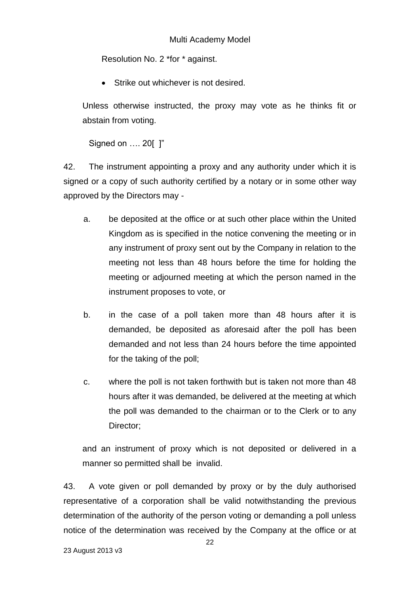Resolution No. 2 \*for \* against.

**Strike out whichever is not desired.** 

Unless otherwise instructed, the proxy may vote as he thinks fit or abstain from voting.

Signed on …. 20[ ]"

42. The instrument appointing a proxy and any authority under which it is signed or a copy of such authority certified by a notary or in some other way approved by the Directors may -

- a. be deposited at the office or at such other place within the United Kingdom as is specified in the notice convening the meeting or in any instrument of proxy sent out by the Company in relation to the meeting not less than 48 hours before the time for holding the meeting or adjourned meeting at which the person named in the instrument proposes to vote, or
- b. in the case of a poll taken more than 48 hours after it is demanded, be deposited as aforesaid after the poll has been demanded and not less than 24 hours before the time appointed for the taking of the poll;
- c. where the poll is not taken forthwith but is taken not more than 48 hours after it was demanded, be delivered at the meeting at which the poll was demanded to the chairman or to the Clerk or to any Director;

and an instrument of proxy which is not deposited or delivered in a manner so permitted shall be invalid.

43. A vote given or poll demanded by proxy or by the duly authorised representative of a corporation shall be valid notwithstanding the previous determination of the authority of the person voting or demanding a poll unless notice of the determination was received by the Company at the office or at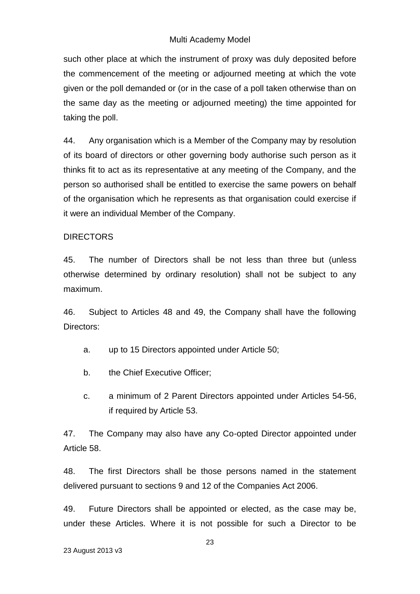such other place at which the instrument of proxy was duly deposited before the commencement of the meeting or adjourned meeting at which the vote given or the poll demanded or (or in the case of a poll taken otherwise than on the same day as the meeting or adjourned meeting) the time appointed for taking the poll.

44. Any organisation which is a Member of the Company may by resolution of its board of directors or other governing body authorise such person as it thinks fit to act as its representative at any meeting of the Company, and the person so authorised shall be entitled to exercise the same powers on behalf of the organisation which he represents as that organisation could exercise if it were an individual Member of the Company.

### **DIRECTORS**

45. The number of Directors shall be not less than three but (unless otherwise determined by ordinary resolution) shall not be subject to any maximum.

46. Subject to Articles 48 and 49, the Company shall have the following Directors:

a. up to 15 Directors appointed under Article 50;

- b. the Chief Executive Officer:
- c. a minimum of 2 Parent Directors appointed under Articles 54-56, if required by Article 53.

47. The Company may also have any Co-opted Director appointed under Article 58.

48. The first Directors shall be those persons named in the statement delivered pursuant to sections 9 and 12 of the Companies Act 2006.

49. Future Directors shall be appointed or elected, as the case may be, under these Articles. Where it is not possible for such a Director to be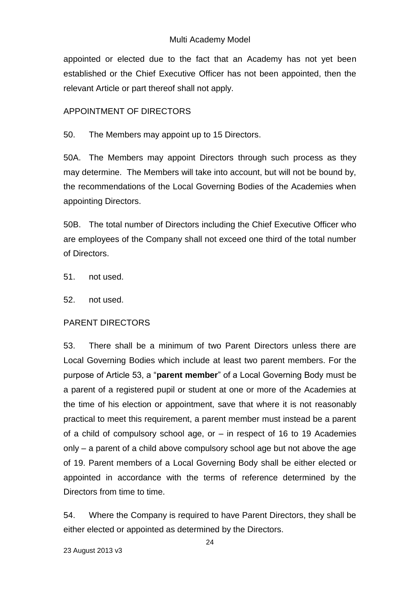appointed or elected due to the fact that an Academy has not yet been established or the Chief Executive Officer has not been appointed, then the relevant Article or part thereof shall not apply.

### APPOINTMENT OF DIRECTORS

50. The Members may appoint up to 15 Directors.

50A. The Members may appoint Directors through such process as they may determine. The Members will take into account, but will not be bound by, the recommendations of the Local Governing Bodies of the Academies when appointing Directors.

50B. The total number of Directors including the Chief Executive Officer who are employees of the Company shall not exceed one third of the total number of Directors.

51. not used.

52. not used.

### PARENT DIRECTORS

53. There shall be a minimum of two Parent Directors unless there are Local Governing Bodies which include at least two parent members. For the purpose of Article 53, a "**parent member**" of a Local Governing Body must be a parent of a registered pupil or student at one or more of the Academies at the time of his election or appointment, save that where it is not reasonably practical to meet this requirement, a parent member must instead be a parent of a child of compulsory school age, or – in respect of 16 to 19 Academies only – a parent of a child above compulsory school age but not above the age of 19. Parent members of a Local Governing Body shall be either elected or appointed in accordance with the terms of reference determined by the Directors from time to time.

54. Where the Company is required to have Parent Directors, they shall be either elected or appointed as determined by the Directors.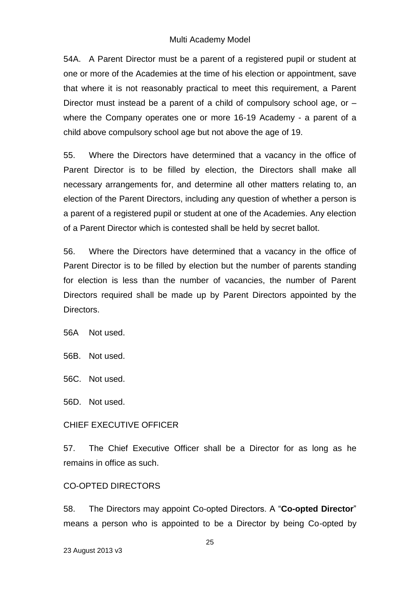54A. A Parent Director must be a parent of a registered pupil or student at one or more of the Academies at the time of his election or appointment, save that where it is not reasonably practical to meet this requirement, a Parent Director must instead be a parent of a child of compulsory school age, or – where the Company operates one or more 16-19 Academy - a parent of a child above compulsory school age but not above the age of 19.

55. Where the Directors have determined that a vacancy in the office of Parent Director is to be filled by election, the Directors shall make all necessary arrangements for, and determine all other matters relating to, an election of the Parent Directors, including any question of whether a person is a parent of a registered pupil or student at one of the Academies. Any election of a Parent Director which is contested shall be held by secret ballot.

56. Where the Directors have determined that a vacancy in the office of Parent Director is to be filled by election but the number of parents standing for election is less than the number of vacancies, the number of Parent Directors required shall be made up by Parent Directors appointed by the Directors.

56A Not used.

56B. Not used.

56C. Not used.

56D. Not used.

#### CHIEF EXECUTIVE OFFICER

57. The Chief Executive Officer shall be a Director for as long as he remains in office as such.

#### CO-OPTED DIRECTORS

58. The Directors may appoint Co-opted Directors. A "**Co-opted Director**" means a person who is appointed to be a Director by being Co-opted by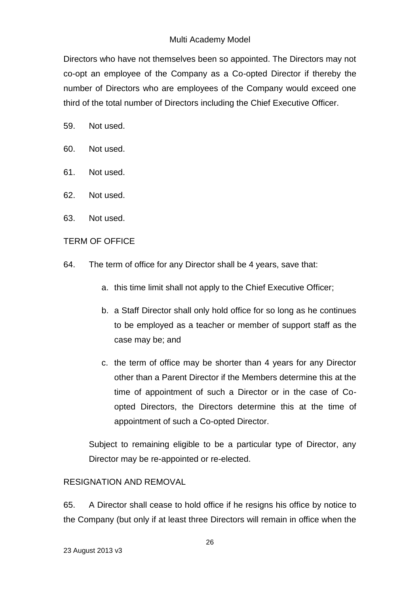Directors who have not themselves been so appointed. The Directors may not co-opt an employee of the Company as a Co-opted Director if thereby the number of Directors who are employees of the Company would exceed one third of the total number of Directors including the Chief Executive Officer.

- 59. Not used.
- 60. Not used.
- 61. Not used.
- 62. Not used.
- 63. Not used.

# TERM OF OFFICE

- 64. The term of office for any Director shall be 4 years, save that:
	- a. this time limit shall not apply to the Chief Executive Officer;
	- b. a Staff Director shall only hold office for so long as he continues to be employed as a teacher or member of support staff as the case may be; and
	- c. the term of office may be shorter than 4 years for any Director other than a Parent Director if the Members determine this at the time of appointment of such a Director or in the case of Coopted Directors, the Directors determine this at the time of appointment of such a Co-opted Director.

Subject to remaining eligible to be a particular type of Director, any Director may be re-appointed or re-elected.

# RESIGNATION AND REMOVAL

65. A Director shall cease to hold office if he resigns his office by notice to the Company (but only if at least three Directors will remain in office when the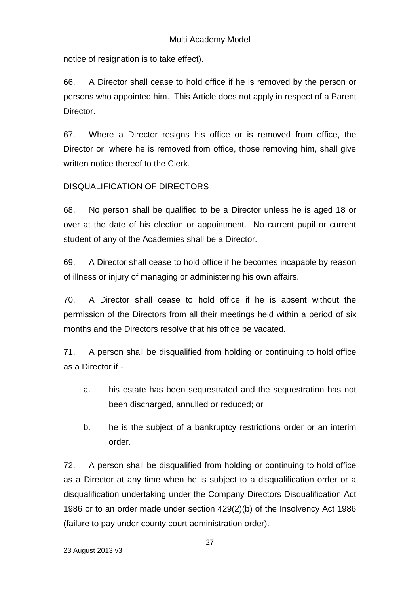notice of resignation is to take effect).

66. A Director shall cease to hold office if he is removed by the person or persons who appointed him. This Article does not apply in respect of a Parent Director.

67. Where a Director resigns his office or is removed from office, the Director or, where he is removed from office, those removing him, shall give written notice thereof to the Clerk.

# DISQUALIFICATION OF DIRECTORS

68. No person shall be qualified to be a Director unless he is aged 18 or over at the date of his election or appointment. No current pupil or current student of any of the Academies shall be a Director.

69. A Director shall cease to hold office if he becomes incapable by reason of illness or injury of managing or administering his own affairs.

70. A Director shall cease to hold office if he is absent without the permission of the Directors from all their meetings held within a period of six months and the Directors resolve that his office be vacated.

71. A person shall be disqualified from holding or continuing to hold office as a Director if -

- a. his estate has been sequestrated and the sequestration has not been discharged, annulled or reduced; or
- b. he is the subject of a bankruptcy restrictions order or an interim order.

72. A person shall be disqualified from holding or continuing to hold office as a Director at any time when he is subject to a disqualification order or a disqualification undertaking under the Company Directors Disqualification Act 1986 or to an order made under section 429(2)(b) of the Insolvency Act 1986 (failure to pay under county court administration order).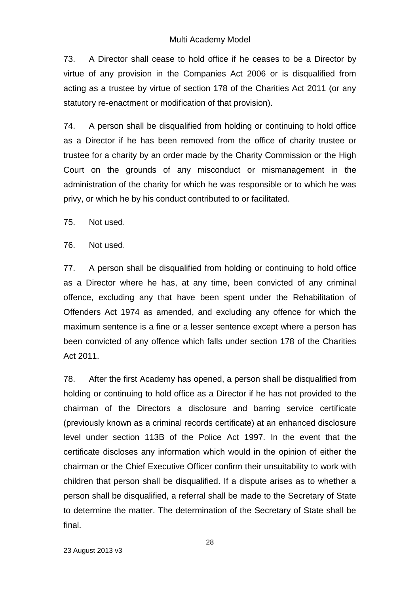73. A Director shall cease to hold office if he ceases to be a Director by virtue of any provision in the Companies Act 2006 or is disqualified from acting as a trustee by virtue of section 178 of the Charities Act 2011 (or any statutory re-enactment or modification of that provision).

74. A person shall be disqualified from holding or continuing to hold office as a Director if he has been removed from the office of charity trustee or trustee for a charity by an order made by the Charity Commission or the High Court on the grounds of any misconduct or mismanagement in the administration of the charity for which he was responsible or to which he was privy, or which he by his conduct contributed to or facilitated.

75. Not used.

76. Not used.

77. A person shall be disqualified from holding or continuing to hold office as a Director where he has, at any time, been convicted of any criminal offence, excluding any that have been spent under the Rehabilitation of Offenders Act 1974 as amended, and excluding any offence for which the maximum sentence is a fine or a lesser sentence except where a person has been convicted of any offence which falls under section 178 of the Charities Act 2011.

78. After the first Academy has opened, a person shall be disqualified from holding or continuing to hold office as a Director if he has not provided to the chairman of the Directors a disclosure and barring service certificate (previously known as a criminal records certificate) at an enhanced disclosure level under section 113B of the Police Act 1997. In the event that the certificate discloses any information which would in the opinion of either the chairman or the Chief Executive Officer confirm their unsuitability to work with children that person shall be disqualified. If a dispute arises as to whether a person shall be disqualified, a referral shall be made to the Secretary of State to determine the matter. The determination of the Secretary of State shall be final.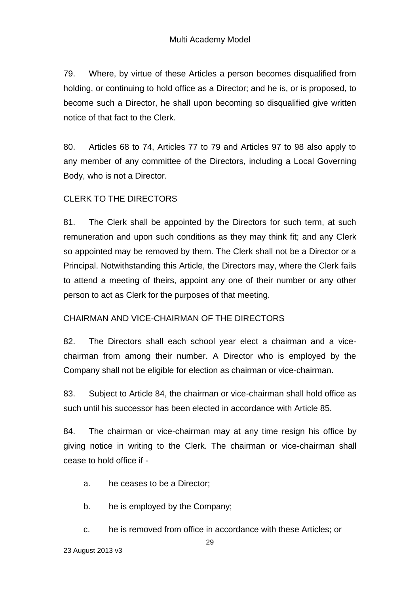79. Where, by virtue of these Articles a person becomes disqualified from holding, or continuing to hold office as a Director; and he is, or is proposed, to become such a Director, he shall upon becoming so disqualified give written notice of that fact to the Clerk.

80. Articles 68 to 74, Articles 77 to 79 and Articles 97 to 98 also apply to any member of any committee of the Directors, including a Local Governing Body, who is not a Director.

### CLERK TO THE DIRECTORS

81. The Clerk shall be appointed by the Directors for such term, at such remuneration and upon such conditions as they may think fit; and any Clerk so appointed may be removed by them. The Clerk shall not be a Director or a Principal. Notwithstanding this Article, the Directors may, where the Clerk fails to attend a meeting of theirs, appoint any one of their number or any other person to act as Clerk for the purposes of that meeting.

### CHAIRMAN AND VICE-CHAIRMAN OF THE DIRECTORS

82. The Directors shall each school year elect a chairman and a vicechairman from among their number. A Director who is employed by the Company shall not be eligible for election as chairman or vice-chairman.

83. Subject to Article 84, the chairman or vice-chairman shall hold office as such until his successor has been elected in accordance with Article 85.

84. The chairman or vice-chairman may at any time resign his office by giving notice in writing to the Clerk. The chairman or vice-chairman shall cease to hold office if -

a. he ceases to be a Director;

b. he is employed by the Company;

c. he is removed from office in accordance with these Articles; or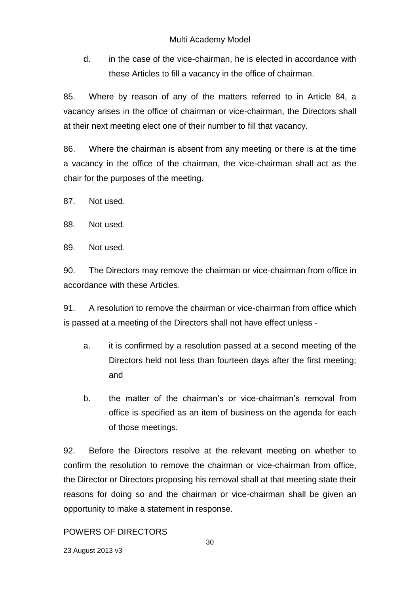d. in the case of the vice-chairman, he is elected in accordance with these Articles to fill a vacancy in the office of chairman.

85. Where by reason of any of the matters referred to in Article 84, a vacancy arises in the office of chairman or vice-chairman, the Directors shall at their next meeting elect one of their number to fill that vacancy.

86. Where the chairman is absent from any meeting or there is at the time a vacancy in the office of the chairman, the vice-chairman shall act as the chair for the purposes of the meeting.

87. Not used.

88. Not used.

89. Not used.

90. The Directors may remove the chairman or vice-chairman from office in accordance with these Articles.

91. A resolution to remove the chairman or vice-chairman from office which is passed at a meeting of the Directors shall not have effect unless -

- a. it is confirmed by a resolution passed at a second meeting of the Directors held not less than fourteen days after the first meeting; and
- b. the matter of the chairman's or vice-chairman's removal from office is specified as an item of business on the agenda for each of those meetings.

92. Before the Directors resolve at the relevant meeting on whether to confirm the resolution to remove the chairman or vice-chairman from office, the Director or Directors proposing his removal shall at that meeting state their reasons for doing so and the chairman or vice-chairman shall be given an opportunity to make a statement in response.

# POWERS OF DIRECTORS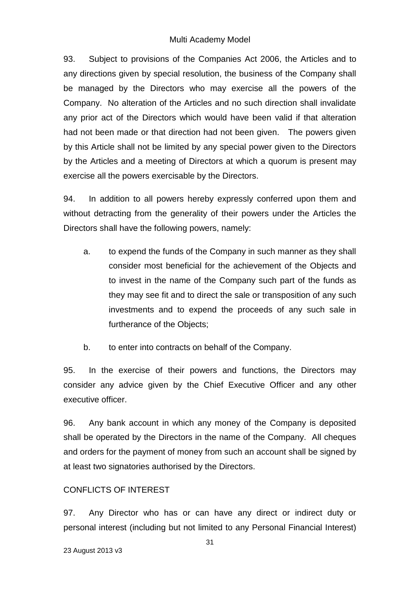93. Subject to provisions of the Companies Act 2006, the Articles and to any directions given by special resolution, the business of the Company shall be managed by the Directors who may exercise all the powers of the Company. No alteration of the Articles and no such direction shall invalidate any prior act of the Directors which would have been valid if that alteration had not been made or that direction had not been given. The powers given by this Article shall not be limited by any special power given to the Directors by the Articles and a meeting of Directors at which a quorum is present may exercise all the powers exercisable by the Directors.

94. In addition to all powers hereby expressly conferred upon them and without detracting from the generality of their powers under the Articles the Directors shall have the following powers, namely:

- a. to expend the funds of the Company in such manner as they shall consider most beneficial for the achievement of the Objects and to invest in the name of the Company such part of the funds as they may see fit and to direct the sale or transposition of any such investments and to expend the proceeds of any such sale in furtherance of the Objects;
- b. to enter into contracts on behalf of the Company.

95. In the exercise of their powers and functions, the Directors may consider any advice given by the Chief Executive Officer and any other executive officer.

96. Any bank account in which any money of the Company is deposited shall be operated by the Directors in the name of the Company. All cheques and orders for the payment of money from such an account shall be signed by at least two signatories authorised by the Directors.

# CONFLICTS OF INTEREST

97. Any Director who has or can have any direct or indirect duty or personal interest (including but not limited to any Personal Financial Interest)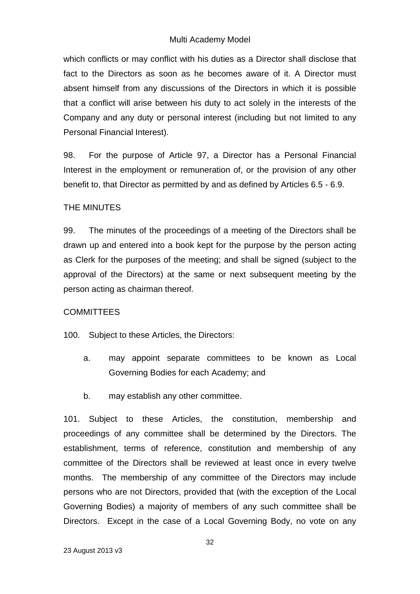which conflicts or may conflict with his duties as a Director shall disclose that fact to the Directors as soon as he becomes aware of it. A Director must absent himself from any discussions of the Directors in which it is possible that a conflict will arise between his duty to act solely in the interests of the Company and any duty or personal interest (including but not limited to any Personal Financial Interest).

98. For the purpose of Article 97, a Director has a Personal Financial Interest in the employment or remuneration of, or the provision of any other benefit to, that Director as permitted by and as defined by Articles 6.5 - 6.9.

### THE MINUTES

99. The minutes of the proceedings of a meeting of the Directors shall be drawn up and entered into a book kept for the purpose by the person acting as Clerk for the purposes of the meeting; and shall be signed (subject to the approval of the Directors) at the same or next subsequent meeting by the person acting as chairman thereof.

### **COMMITTEES**

100. Subject to these Articles, the Directors:

- a. may appoint separate committees to be known as Local Governing Bodies for each Academy; and
- b. may establish any other committee.

101. Subject to these Articles, the constitution, membership and proceedings of any committee shall be determined by the Directors. The establishment, terms of reference, constitution and membership of any committee of the Directors shall be reviewed at least once in every twelve months. The membership of any committee of the Directors may include persons who are not Directors, provided that (with the exception of the Local Governing Bodies) a majority of members of any such committee shall be Directors. Except in the case of a Local Governing Body, no vote on any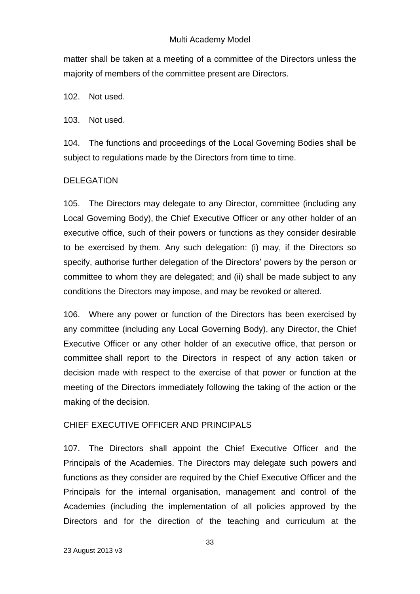matter shall be taken at a meeting of a committee of the Directors unless the majority of members of the committee present are Directors.

102. Not used.

103. Not used.

104. The functions and proceedings of the Local Governing Bodies shall be subject to regulations made by the Directors from time to time.

# DELEGATION

105. The Directors may delegate to any Director, committee (including any Local Governing Body), the Chief Executive Officer or any other holder of an executive office, such of their powers or functions as they consider desirable to be exercised by them. Any such delegation: (i) may, if the Directors so specify, authorise further delegation of the Directors' powers by the person or committee to whom they are delegated; and (ii) shall be made subject to any conditions the Directors may impose, and may be revoked or altered.

106. Where any power or function of the Directors has been exercised by any committee (including any Local Governing Body), any Director, the Chief Executive Officer or any other holder of an executive office, that person or committee shall report to the Directors in respect of any action taken or decision made with respect to the exercise of that power or function at the meeting of the Directors immediately following the taking of the action or the making of the decision.

# CHIEF EXECUTIVE OFFICER AND PRINCIPALS

107. The Directors shall appoint the Chief Executive Officer and the Principals of the Academies. The Directors may delegate such powers and functions as they consider are required by the Chief Executive Officer and the Principals for the internal organisation, management and control of the Academies (including the implementation of all policies approved by the Directors and for the direction of the teaching and curriculum at the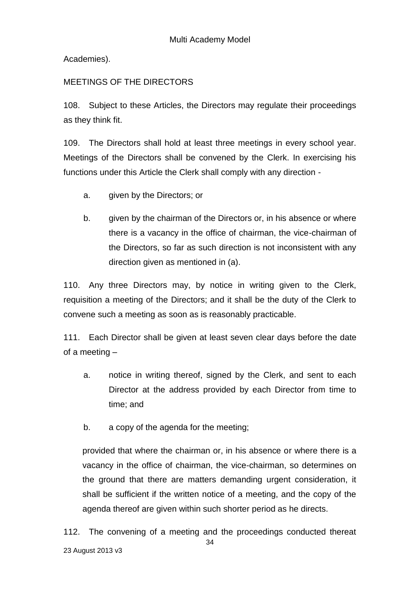Academies).

# MEETINGS OF THE DIRECTORS

108. Subject to these Articles, the Directors may regulate their proceedings as they think fit.

109. The Directors shall hold at least three meetings in every school year. Meetings of the Directors shall be convened by the Clerk. In exercising his functions under this Article the Clerk shall comply with any direction -

- a. given by the Directors; or
- b. given by the chairman of the Directors or, in his absence or where there is a vacancy in the office of chairman, the vice-chairman of the Directors, so far as such direction is not inconsistent with any direction given as mentioned in (a).

110. Any three Directors may, by notice in writing given to the Clerk, requisition a meeting of the Directors; and it shall be the duty of the Clerk to convene such a meeting as soon as is reasonably practicable.

111. Each Director shall be given at least seven clear days before the date of a meeting –

- a. notice in writing thereof, signed by the Clerk, and sent to each Director at the address provided by each Director from time to time; and
- b. a copy of the agenda for the meeting;

provided that where the chairman or, in his absence or where there is a vacancy in the office of chairman, the vice-chairman, so determines on the ground that there are matters demanding urgent consideration, it shall be sufficient if the written notice of a meeting, and the copy of the agenda thereof are given within such shorter period as he directs.

34 23 August 2013 v3 112. The convening of a meeting and the proceedings conducted thereat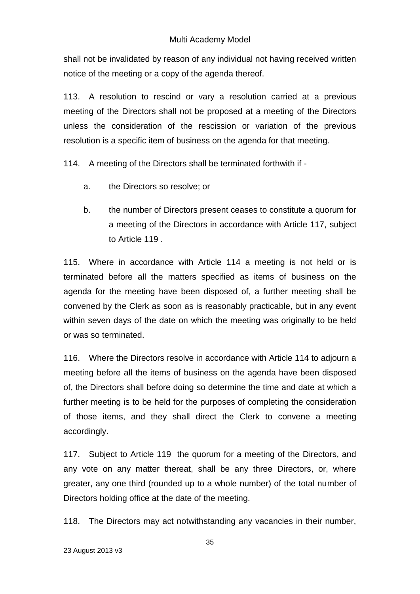shall not be invalidated by reason of any individual not having received written notice of the meeting or a copy of the agenda thereof.

113. A resolution to rescind or vary a resolution carried at a previous meeting of the Directors shall not be proposed at a meeting of the Directors unless the consideration of the rescission or variation of the previous resolution is a specific item of business on the agenda for that meeting.

114. A meeting of the Directors shall be terminated forthwith if -

- a. the Directors so resolve; or
- b. the number of Directors present ceases to constitute a quorum for a meeting of the Directors in accordance with Article 117, subject to Article 119 .

115. Where in accordance with Article 114 a meeting is not held or is terminated before all the matters specified as items of business on the agenda for the meeting have been disposed of, a further meeting shall be convened by the Clerk as soon as is reasonably practicable, but in any event within seven days of the date on which the meeting was originally to be held or was so terminated.

116. Where the Directors resolve in accordance with Article 114 to adjourn a meeting before all the items of business on the agenda have been disposed of, the Directors shall before doing so determine the time and date at which a further meeting is to be held for the purposes of completing the consideration of those items, and they shall direct the Clerk to convene a meeting accordingly.

117. Subject to Article 119 the quorum for a meeting of the Directors, and any vote on any matter thereat, shall be any three Directors, or, where greater, any one third (rounded up to a whole number) of the total number of Directors holding office at the date of the meeting.

118. The Directors may act notwithstanding any vacancies in their number,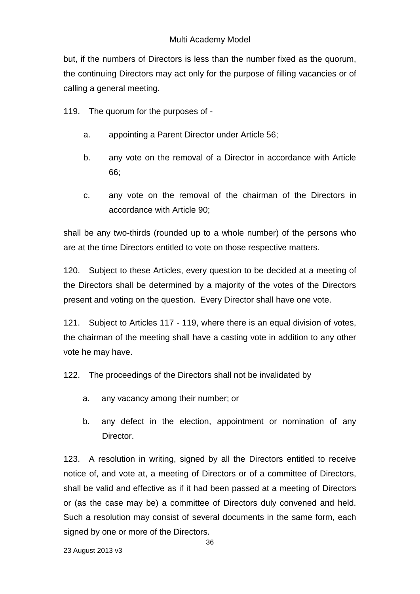but, if the numbers of Directors is less than the number fixed as the quorum, the continuing Directors may act only for the purpose of filling vacancies or of calling a general meeting.

119. The quorum for the purposes of -

- a. appointing a Parent Director under Article 56;
- b. any vote on the removal of a Director in accordance with Article 66;
- c. any vote on the removal of the chairman of the Directors in accordance with Article 90;

shall be any two-thirds (rounded up to a whole number) of the persons who are at the time Directors entitled to vote on those respective matters.

120. Subject to these Articles, every question to be decided at a meeting of the Directors shall be determined by a majority of the votes of the Directors present and voting on the question. Every Director shall have one vote.

121. Subject to Articles 117 - 119, where there is an equal division of votes, the chairman of the meeting shall have a casting vote in addition to any other vote he may have.

122. The proceedings of the Directors shall not be invalidated by

- a. any vacancy among their number; or
- b. any defect in the election, appointment or nomination of any Director.

123. A resolution in writing, signed by all the Directors entitled to receive notice of, and vote at, a meeting of Directors or of a committee of Directors, shall be valid and effective as if it had been passed at a meeting of Directors or (as the case may be) a committee of Directors duly convened and held. Such a resolution may consist of several documents in the same form, each signed by one or more of the Directors.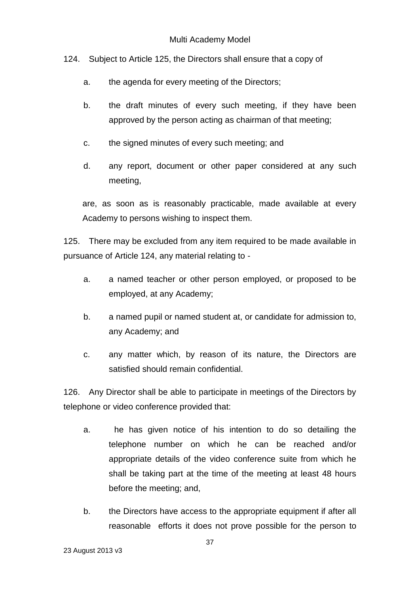124. Subject to Article 125, the Directors shall ensure that a copy of

- a. the agenda for every meeting of the Directors;
- b. the draft minutes of every such meeting, if they have been approved by the person acting as chairman of that meeting;
- c. the signed minutes of every such meeting; and
- d. any report, document or other paper considered at any such meeting,

are, as soon as is reasonably practicable, made available at every Academy to persons wishing to inspect them.

125. There may be excluded from any item required to be made available in pursuance of Article 124, any material relating to -

- a. a named teacher or other person employed, or proposed to be employed, at any Academy;
- b. a named pupil or named student at, or candidate for admission to, any Academy; and
- c. any matter which, by reason of its nature, the Directors are satisfied should remain confidential.

126. Any Director shall be able to participate in meetings of the Directors by telephone or video conference provided that:

- a. he has given notice of his intention to do so detailing the telephone number on which he can be reached and/or appropriate details of the video conference suite from which he shall be taking part at the time of the meeting at least 48 hours before the meeting; and,
- b. the Directors have access to the appropriate equipment if after all reasonable efforts it does not prove possible for the person to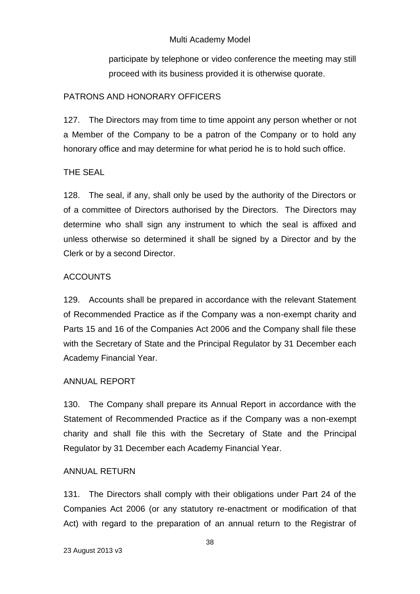participate by telephone or video conference the meeting may still proceed with its business provided it is otherwise quorate.

# PATRONS AND HONORARY OFFICERS

127. The Directors may from time to time appoint any person whether or not a Member of the Company to be a patron of the Company or to hold any honorary office and may determine for what period he is to hold such office.

# THE SEAL

128. The seal, if any, shall only be used by the authority of the Directors or of a committee of Directors authorised by the Directors. The Directors may determine who shall sign any instrument to which the seal is affixed and unless otherwise so determined it shall be signed by a Director and by the Clerk or by a second Director.

# ACCOUNTS

129. Accounts shall be prepared in accordance with the relevant Statement of Recommended Practice as if the Company was a non-exempt charity and Parts 15 and 16 of the Companies Act 2006 and the Company shall file these with the Secretary of State and the Principal Regulator by 31 December each Academy Financial Year.

# ANNUAL REPORT

130. The Company shall prepare its Annual Report in accordance with the Statement of Recommended Practice as if the Company was a non-exempt charity and shall file this with the Secretary of State and the Principal Regulator by 31 December each Academy Financial Year.

# ANNUAL RETURN

131. The Directors shall comply with their obligations under Part 24 of the Companies Act 2006 (or any statutory re-enactment or modification of that Act) with regard to the preparation of an annual return to the Registrar of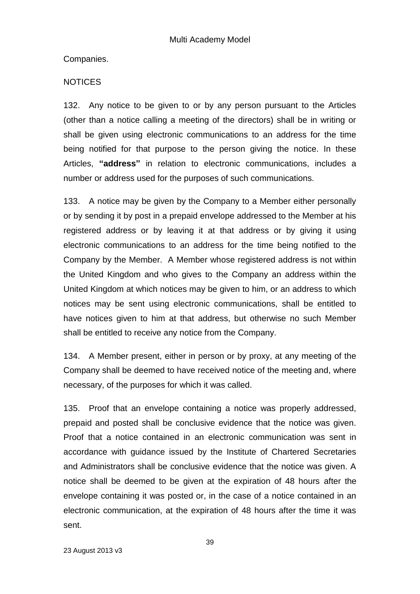Companies.

# **NOTICES**

132. Any notice to be given to or by any person pursuant to the Articles (other than a notice calling a meeting of the directors) shall be in writing or shall be given using electronic communications to an address for the time being notified for that purpose to the person giving the notice. In these Articles, **"address"** in relation to electronic communications, includes a number or address used for the purposes of such communications.

133. A notice may be given by the Company to a Member either personally or by sending it by post in a prepaid envelope addressed to the Member at his registered address or by leaving it at that address or by giving it using electronic communications to an address for the time being notified to the Company by the Member. A Member whose registered address is not within the United Kingdom and who gives to the Company an address within the United Kingdom at which notices may be given to him, or an address to which notices may be sent using electronic communications, shall be entitled to have notices given to him at that address, but otherwise no such Member shall be entitled to receive any notice from the Company.

134. A Member present, either in person or by proxy, at any meeting of the Company shall be deemed to have received notice of the meeting and, where necessary, of the purposes for which it was called.

135. Proof that an envelope containing a notice was properly addressed, prepaid and posted shall be conclusive evidence that the notice was given. Proof that a notice contained in an electronic communication was sent in accordance with guidance issued by the Institute of Chartered Secretaries and Administrators shall be conclusive evidence that the notice was given. A notice shall be deemed to be given at the expiration of 48 hours after the envelope containing it was posted or, in the case of a notice contained in an electronic communication, at the expiration of 48 hours after the time it was sent.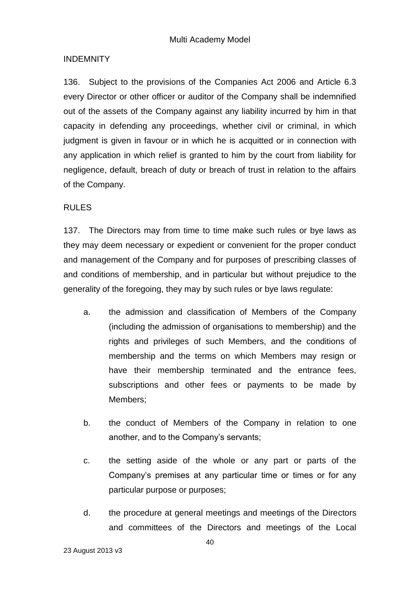# INDEMNITY

136. Subject to the provisions of the Companies Act 2006 and Article 6.3 every Director or other officer or auditor of the Company shall be indemnified out of the assets of the Company against any liability incurred by him in that capacity in defending any proceedings, whether civil or criminal, in which judgment is given in favour or in which he is acquitted or in connection with any application in which relief is granted to him by the court from liability for negligence, default, breach of duty or breach of trust in relation to the affairs of the Company.

### RULES

137. The Directors may from time to time make such rules or bye laws as they may deem necessary or expedient or convenient for the proper conduct and management of the Company and for purposes of prescribing classes of and conditions of membership, and in particular but without prejudice to the generality of the foregoing, they may by such rules or bye laws regulate:

- a. the admission and classification of Members of the Company (including the admission of organisations to membership) and the rights and privileges of such Members, and the conditions of membership and the terms on which Members may resign or have their membership terminated and the entrance fees, subscriptions and other fees or payments to be made by Members;
- b. the conduct of Members of the Company in relation to one another, and to the Company's servants;
- c. the setting aside of the whole or any part or parts of the Company's premises at any particular time or times or for any particular purpose or purposes;
- d. the procedure at general meetings and meetings of the Directors and committees of the Directors and meetings of the Local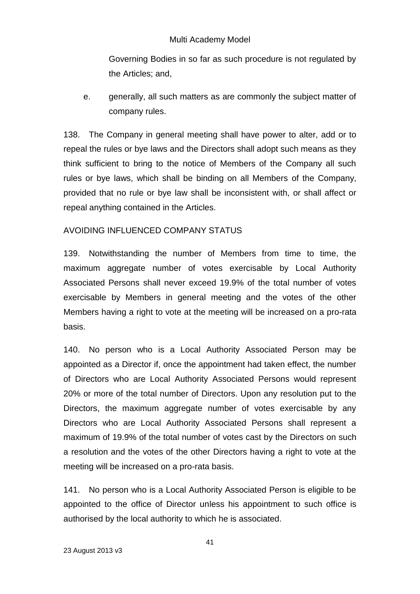Governing Bodies in so far as such procedure is not regulated by the Articles; and,

e. generally, all such matters as are commonly the subject matter of company rules.

138. The Company in general meeting shall have power to alter, add or to repeal the rules or bye laws and the Directors shall adopt such means as they think sufficient to bring to the notice of Members of the Company all such rules or bye laws, which shall be binding on all Members of the Company, provided that no rule or bye law shall be inconsistent with, or shall affect or repeal anything contained in the Articles.

### AVOIDING INFLUENCED COMPANY STATUS

139. Notwithstanding the number of Members from time to time, the maximum aggregate number of votes exercisable by Local Authority Associated Persons shall never exceed 19.9% of the total number of votes exercisable by Members in general meeting and the votes of the other Members having a right to vote at the meeting will be increased on a pro-rata basis.

140. No person who is a Local Authority Associated Person may be appointed as a Director if, once the appointment had taken effect, the number of Directors who are Local Authority Associated Persons would represent 20% or more of the total number of Directors. Upon any resolution put to the Directors, the maximum aggregate number of votes exercisable by any Directors who are Local Authority Associated Persons shall represent a maximum of 19.9% of the total number of votes cast by the Directors on such a resolution and the votes of the other Directors having a right to vote at the meeting will be increased on a pro-rata basis.

141. No person who is a Local Authority Associated Person is eligible to be appointed to the office of Director unless his appointment to such office is authorised by the local authority to which he is associated.